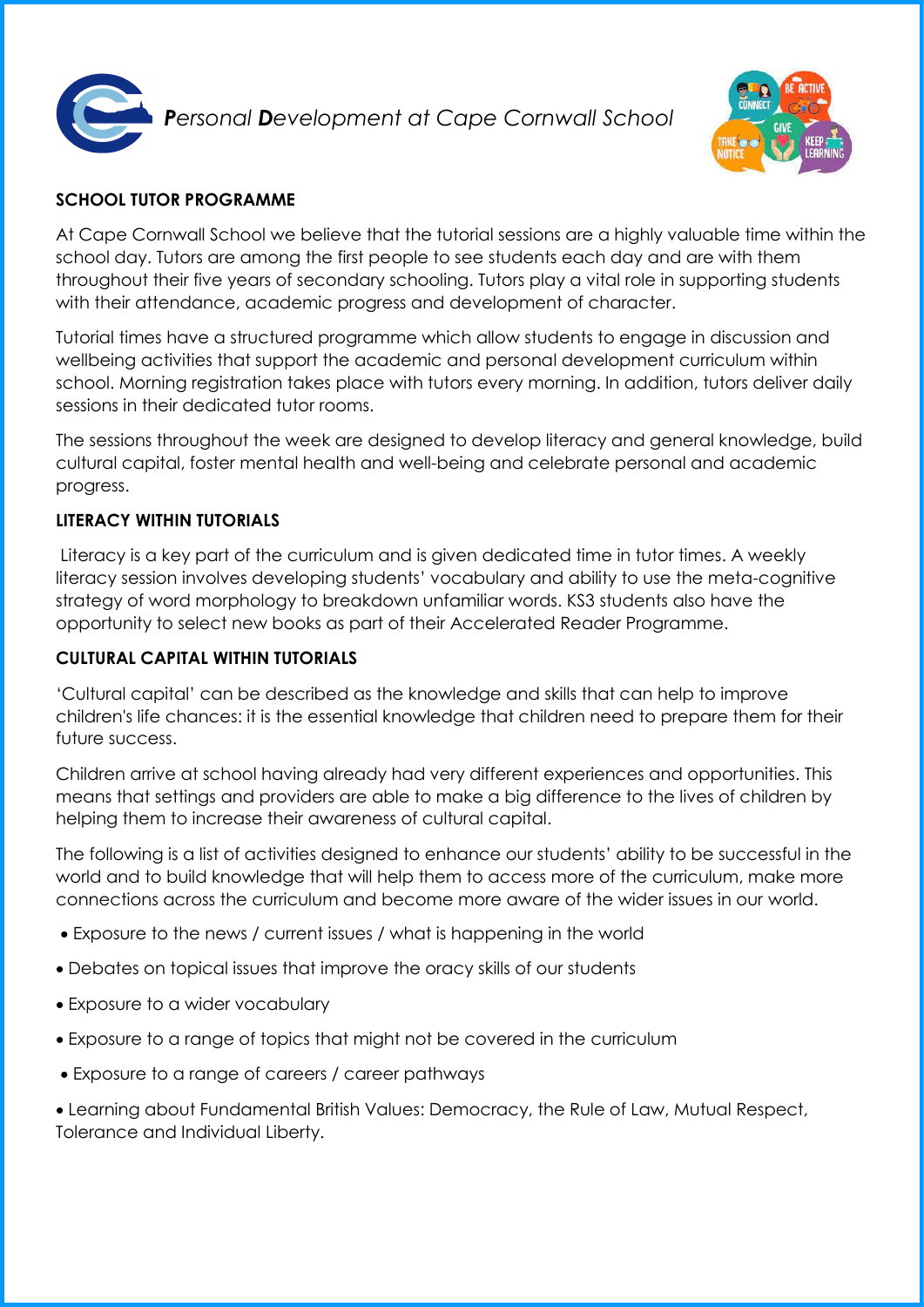

*Personal Development at Cape Cornwall School* 



# **SCHOOL TUTOR PROGRAMME**

At Cape Cornwall School we believe that the tutorial sessions are a highly valuable time within the school day. Tutors are among the first people to see students each day and are with them throughout their five years of secondary schooling. Tutors play a vital role in supporting students with their attendance, academic progress and development of character.

Tutorial times have a structured programme which allow students to engage in discussion and wellbeing activities that support the academic and personal development curriculum within school. Morning registration takes place with tutors every morning. In addition, tutors deliver daily sessions in their dedicated tutor rooms.

The sessions throughout the week are designed to develop literacy and general knowledge, build cultural capital, foster mental health and well-being and celebrate personal and academic progress.

## **LITERACY WITHIN TUTORIALS**

Literacy is a key part of the curriculum and is given dedicated time in tutor times. A weekly literacy session involves developing students' vocabulary and ability to use the meta-cognitive strategy of word morphology to breakdown unfamiliar words. KS3 students also have the opportunity to select new books as part of their Accelerated Reader Programme.

### **CULTURAL CAPITAL WITHIN TUTORIALS**

'Cultural capital' can be described as the knowledge and skills that can help to improve children's life chances: it is the essential knowledge that children need to prepare them for their future success.

Children arrive at school having already had very different experiences and opportunities. This means that settings and providers are able to make a big difference to the lives of children by helping them to increase their awareness of cultural capital.

The following is a list of activities designed to enhance our students' ability to be successful in the world and to build knowledge that will help them to access more of the curriculum, make more connections across the curriculum and become more aware of the wider issues in our world.

- Exposure to the news / current issues / what is happening in the world
- Debates on topical issues that improve the oracy skills of our students
- Exposure to a wider vocabulary
- Exposure to a range of topics that might not be covered in the curriculum
- Exposure to a range of careers / career pathways

 Learning about Fundamental British Values: Democracy, the Rule of Law, Mutual Respect, Tolerance and Individual Liberty.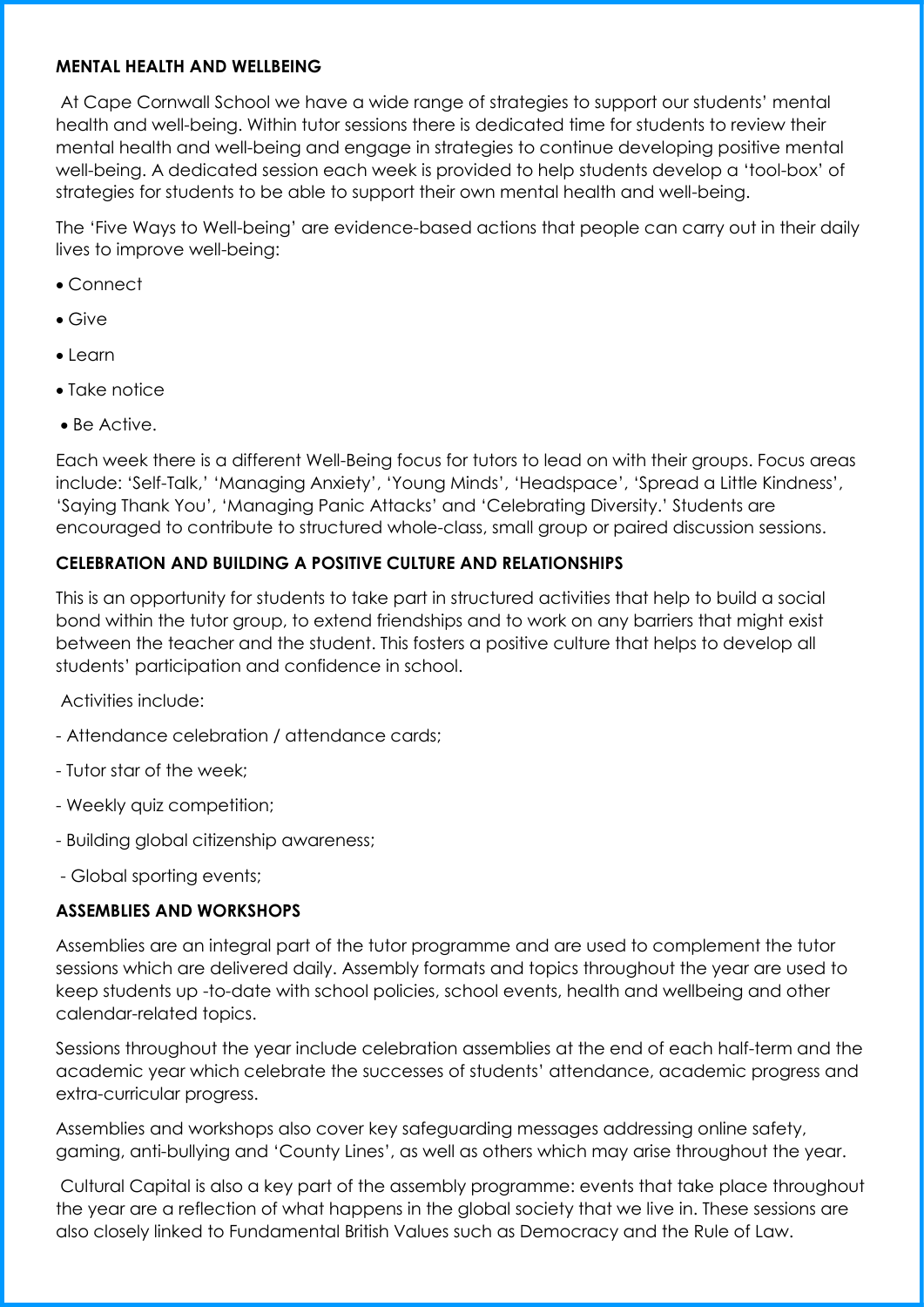#### **MENTAL HEALTH AND WELLBEING**

At Cape Cornwall School we have a wide range of strategies to support our students' mental health and well-being. Within tutor sessions there is dedicated time for students to review their mental health and well-being and engage in strategies to continue developing positive mental well-being. A dedicated session each week is provided to help students develop a 'tool-box' of strategies for students to be able to support their own mental health and well-being.

The 'Five Ways to Well-being' are evidence-based actions that people can carry out in their daily lives to improve well-being:

- Connect
- Give
- Learn
- Take notice
- Be Active.

Each week there is a different Well-Being focus for tutors to lead on with their groups. Focus areas include: 'Self-Talk,' 'Managing Anxiety', 'Young Minds', 'Headspace', 'Spread a Little Kindness', 'Saying Thank You', 'Managing Panic Attacks' and 'Celebrating Diversity.' Students are encouraged to contribute to structured whole-class, small group or paired discussion sessions.

### **CELEBRATION AND BUILDING A POSITIVE CULTURE AND RELATIONSHIPS**

This is an opportunity for students to take part in structured activities that help to build a social bond within the tutor group, to extend friendships and to work on any barriers that might exist between the teacher and the student. This fosters a positive culture that helps to develop all students' participation and confidence in school.

Activities include:

- Attendance celebration / attendance cards;
- Tutor star of the week;
- Weekly quiz competition;
- Building global citizenship awareness;
- Global sporting events;

### **ASSEMBLIES AND WORKSHOPS**

Assemblies are an integral part of the tutor programme and are used to complement the tutor sessions which are delivered daily. Assembly formats and topics throughout the year are used to keep students up -to-date with school policies, school events, health and wellbeing and other calendar-related topics.

Sessions throughout the year include celebration assemblies at the end of each half-term and the academic year which celebrate the successes of students' attendance, academic progress and extra-curricular progress.

Assemblies and workshops also cover key safeguarding messages addressing online safety, gaming, anti-bullying and 'County Lines', as well as others which may arise throughout the year.

Cultural Capital is also a key part of the assembly programme: events that take place throughout the year are a reflection of what happens in the global society that we live in. These sessions are also closely linked to Fundamental British Values such as Democracy and the Rule of Law.